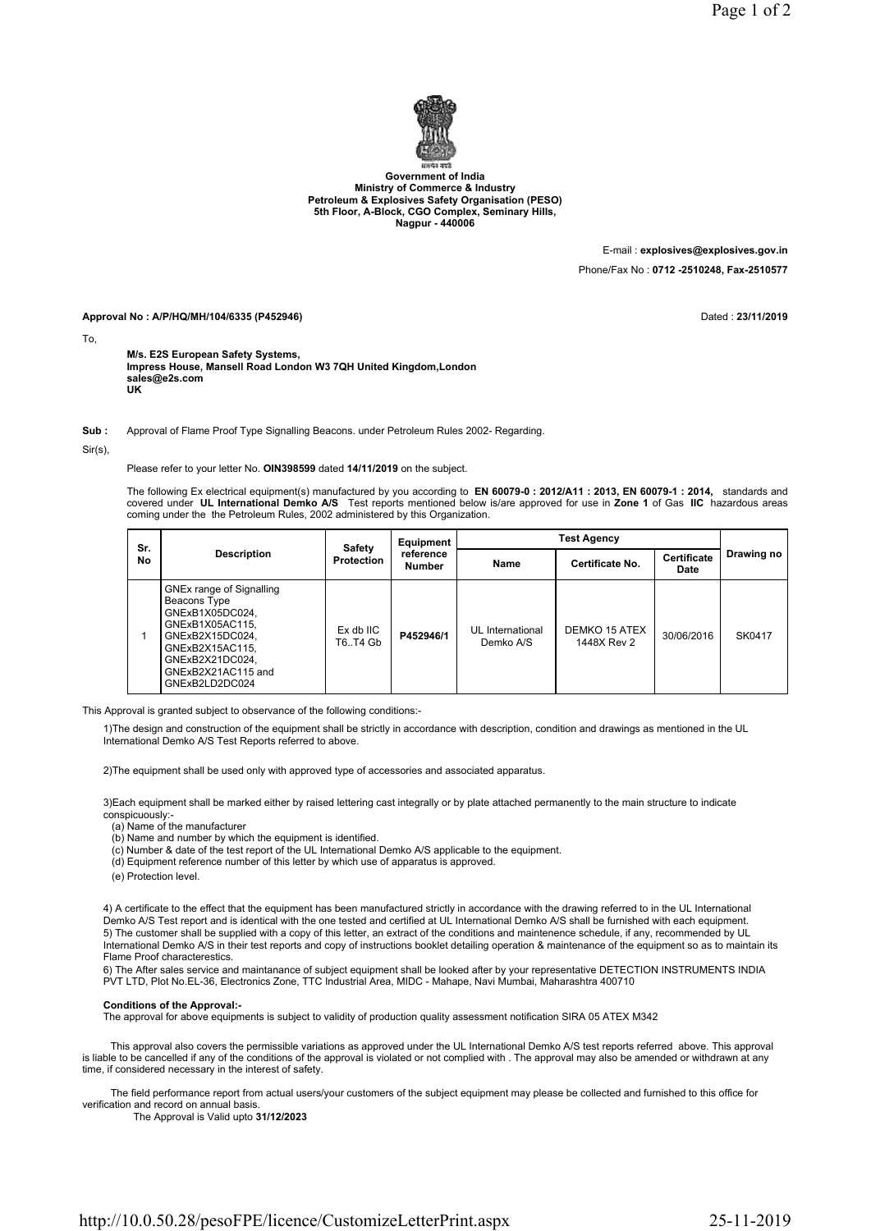

Government of India Ministry of Commerce & Industry Petroleum & Explosives Safety Organisation (PESO) 5th Floor, A-Block, CGO Complex, Seminary Hills, Nagpur - 440006

> E-mail : explosives@explosives.gov.in Phone/Fax No : 0712 -2510248, Fax-2510577

Approval No : A/P/HQ/MH/104/6335 (P452946) **Dated : 23/11/2019** Dated : 23/11/2019

To,

M/s. E2S European Safety Systems, Impress House, Mansell Road London W3 7QH United Kingdom,London sales@e2s.com UK

Sub : Approval of Flame Proof Type Signalling Beacons. under Petroleum Rules 2002- Regarding.

Sir(s),

Please refer to your letter No. OIN398599 dated 14/11/2019 on the subject.

The following Ex electrical equipment(s) manufactured by you according to EN 60079-0 : 2012/A11 : 2013, EN 60079-1 : 2014, standards and covered under UL International Demko A/S Test reports mentioned below is/are approved for use in Zone 1 of Gas IIC hazardous areas coming under the the Petroleum Rules, 2002 administered by this Organization.

| Sr.<br>No | <b>Description</b>                                                                                                                                                              | <b>Safety</b><br><b>Protection</b> | Equipment<br>reference<br><b>Number</b> | <b>Test Agency</b>            |                              |                     |            |
|-----------|---------------------------------------------------------------------------------------------------------------------------------------------------------------------------------|------------------------------------|-----------------------------------------|-------------------------------|------------------------------|---------------------|------------|
|           |                                                                                                                                                                                 |                                    |                                         | Name                          | Certificate No.              | Certificate<br>Date | Drawing no |
|           | GNEx range of Signalling<br>Beacons Type<br>GNExB1X05DC024.<br>GNExB1X05AC115,<br>GNExB2X15DC024.<br>GNExB2X15AC115,<br>GNExB2X21DC024,<br>GNExB2X21AC115 and<br>GNExB2LD2DC024 | Ex db IIC<br>T6T4 Gb               | P452946/1                               | UL International<br>Demko A/S | DEMKO 15 ATEX<br>1448X Rev 2 | 30/06/2016          | SK0417     |

This Approval is granted subject to observance of the following conditions:-

1)The design and construction of the equipment shall be strictly in accordance with description, condition and drawings as mentioned in the UL International Demko A/S Test Reports referred to above.

2)The equipment shall be used only with approved type of accessories and associated apparatus.

3)Each equipment shall be marked either by raised lettering cast integrally or by plate attached permanently to the main structure to indicate conspicuously:-

(a) Name of the manufacturer

- (b) Name and number by which the equipment is identified.
- (c) Number & date of the test report of the UL International Demko A/S applicable to the equipment.
- (d) Equipment reference number of this letter by which use of apparatus is approved.
- (e) Protection level.

4) A certificate to the effect that the equipment has been manufactured strictly in accordance with the drawing referred to in the UL International Demko A/S Test report and is identical with the one tested and certified at UL International Demko A/S shall be furnished with each equipment. 5) The customer shall be supplied with a copy of this letter, an extract of the conditions and maintenence schedule, if any, recommended by UL International Demko A/S in their test reports and copy of instructions booklet detailing operation & maintenance of the equipment so as to maintain its Flame Proof characterestics.

6) The After sales service and maintanance of subject equipment shall be looked after by your representative DETECTION INSTRUMENTS INDIA PVT LTD, Plot No.EL-36, Electronics Zone, TTC Industrial Area, MIDC - Mahape, Navi Mumbai, Maharashtra 400710

## Conditions of the Approval:-

The approval for above equipments is subject to validity of production quality assessment notification SIRA 05 ATEX M342

 This approval also covers the permissible variations as approved under the UL International Demko A/S test reports referred above. This approval is liable to be cancelled if any of the conditions of the approval is violated or not complied with . The approval may also be amended or withdrawn at any time, if considered necessary in the interest of safety.

 The field performance report from actual users/your customers of the subject equipment may please be collected and furnished to this office for verification and record on annual basis.

The Approval is Valid upto 31/12/2023